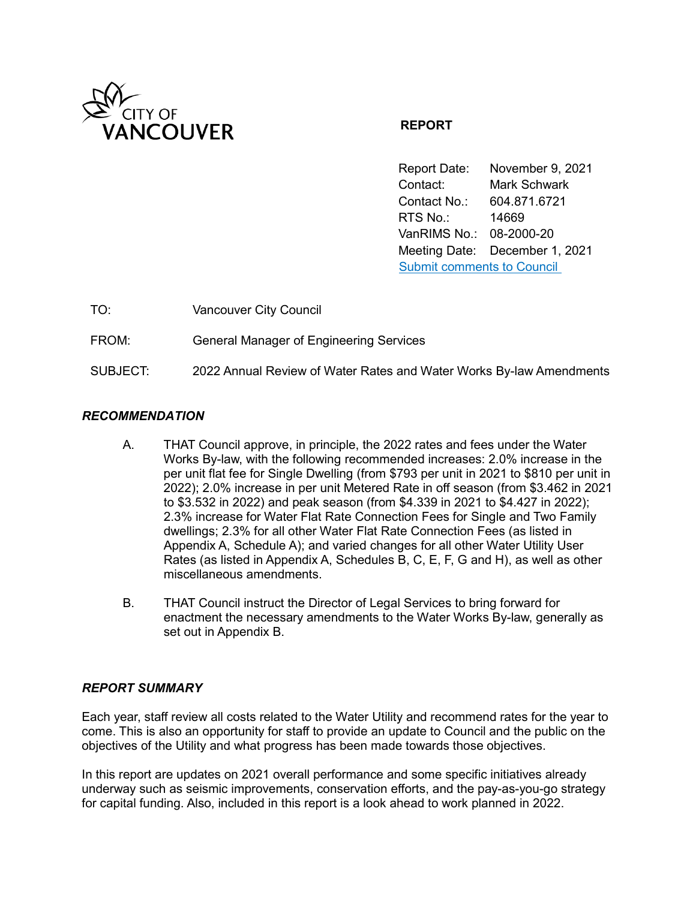

# **REPORT**

Report Date: November 9, 2021 Contact: Mark Schwark Contact No.: 604.871.6721 RTS No.: 14669 VanRIMS No.: 08-2000-20 Meeting Date: December 1, 2021 [Submit comments to Council](https://vancouver.ca/your-government/contact-council.aspx) 

| TO:      | <b>Vancouver City Council</b>                                       |
|----------|---------------------------------------------------------------------|
| FROM:    | <b>General Manager of Engineering Services</b>                      |
| SUBJECT: | 2022 Annual Review of Water Rates and Water Works By-law Amendments |

# *RECOMMENDATION*

- A. THAT Council approve, in principle, the 2022 rates and fees under the Water Works By-law, with the following recommended increases: 2.0% increase in the per unit flat fee for Single Dwelling (from \$793 per unit in 2021 to \$810 per unit in 2022); 2.0% increase in per unit Metered Rate in off season (from \$3.462 in 2021 to \$3.532 in 2022) and peak season (from \$4.339 in 2021 to \$4.427 in 2022); 2.3% increase for Water Flat Rate Connection Fees for Single and Two Family dwellings; 2.3% for all other Water Flat Rate Connection Fees (as listed in Appendix A, Schedule A); and varied changes for all other Water Utility User Rates (as listed in Appendix A, Schedules B, C, E, F, G and H), as well as other miscellaneous amendments.
- B. THAT Council instruct the Director of Legal Services to bring forward for enactment the necessary amendments to the Water Works By-law, generally as set out in Appendix B.

# *REPORT SUMMARY*

Each year, staff review all costs related to the Water Utility and recommend rates for the year to come. This is also an opportunity for staff to provide an update to Council and the public on the objectives of the Utility and what progress has been made towards those objectives.

In this report are updates on 2021 overall performance and some specific initiatives already underway such as seismic improvements, conservation efforts, and the pay-as-you-go strategy for capital funding. Also, included in this report is a look ahead to work planned in 2022.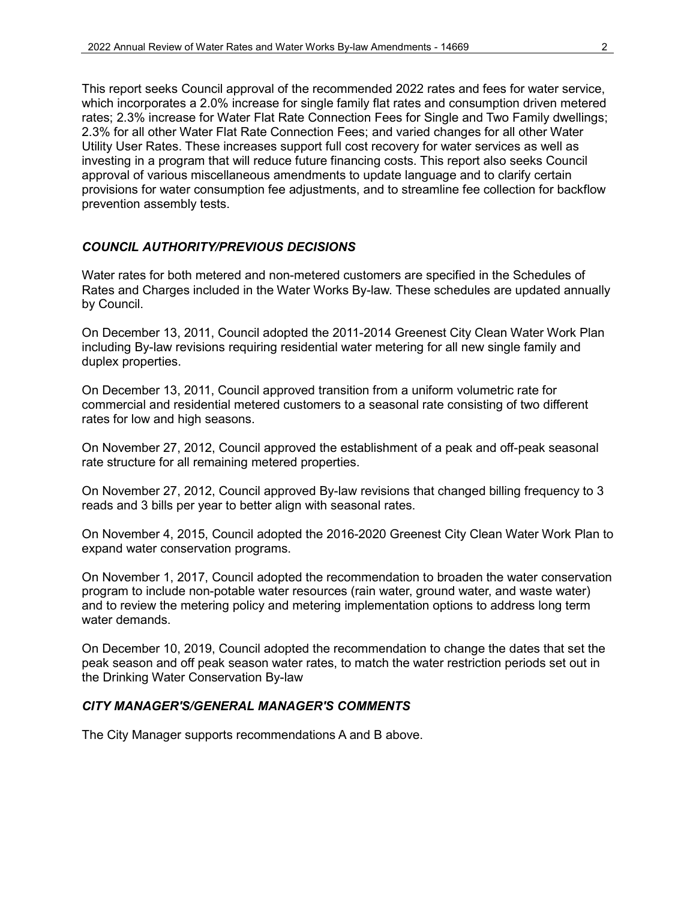This report seeks Council approval of the recommended 2022 rates and fees for water service, which incorporates a 2.0% increase for single family flat rates and consumption driven metered rates; 2.3% increase for Water Flat Rate Connection Fees for Single and Two Family dwellings; 2.3% for all other Water Flat Rate Connection Fees; and varied changes for all other Water Utility User Rates. These increases support full cost recovery for water services as well as investing in a program that will reduce future financing costs. This report also seeks Council approval of various miscellaneous amendments to update language and to clarify certain provisions for water consumption fee adjustments, and to streamline fee collection for backflow prevention assembly tests.

# *COUNCIL AUTHORITY/PREVIOUS DECISIONS*

Water rates for both metered and non-metered customers are specified in the Schedules of Rates and Charges included in the Water Works By-law. These schedules are updated annually by Council.

On December 13, 2011, Council adopted the 2011-2014 Greenest City Clean Water Work Plan including By-law revisions requiring residential water metering for all new single family and duplex properties.

On December 13, 2011, Council approved transition from a uniform volumetric rate for commercial and residential metered customers to a seasonal rate consisting of two different rates for low and high seasons.

On November 27, 2012, Council approved the establishment of a peak and off-peak seasonal rate structure for all remaining metered properties.

On November 27, 2012, Council approved By-law revisions that changed billing frequency to 3 reads and 3 bills per year to better align with seasonal rates.

On November 4, 2015, Council adopted the 2016-2020 Greenest City Clean Water Work Plan to expand water conservation programs.

On November 1, 2017, Council adopted the recommendation to broaden the water conservation program to include non-potable water resources (rain water, ground water, and waste water) and to review the metering policy and metering implementation options to address long term water demands.

On December 10, 2019, Council adopted the recommendation to change the dates that set the peak season and off peak season water rates, to match the water restriction periods set out in the Drinking Water Conservation By-law

#### *CITY MANAGER'S/GENERAL MANAGER'S COMMENTS*

The City Manager supports recommendations A and B above.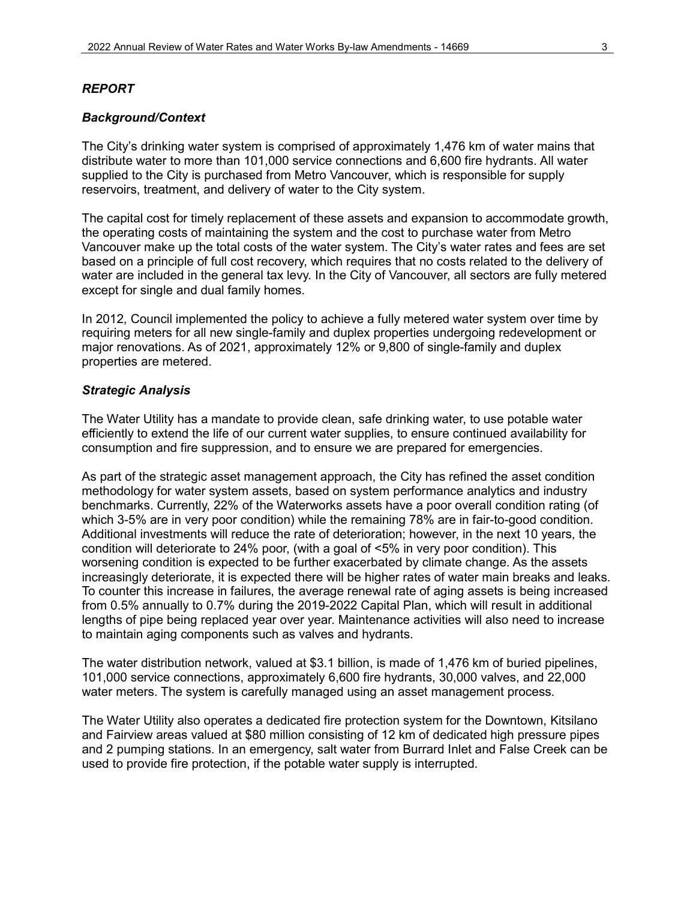#### *REPORT*

#### *Background/Context*

The City's drinking water system is comprised of approximately 1,476 km of water mains that distribute water to more than 101,000 service connections and 6,600 fire hydrants. All water supplied to the City is purchased from Metro Vancouver, which is responsible for supply reservoirs, treatment, and delivery of water to the City system.

The capital cost for timely replacement of these assets and expansion to accommodate growth, the operating costs of maintaining the system and the cost to purchase water from Metro Vancouver make up the total costs of the water system. The City's water rates and fees are set based on a principle of full cost recovery, which requires that no costs related to the delivery of water are included in the general tax levy. In the City of Vancouver, all sectors are fully metered except for single and dual family homes.

In 2012, Council implemented the policy to achieve a fully metered water system over time by requiring meters for all new single-family and duplex properties undergoing redevelopment or major renovations. As of 2021, approximately 12% or 9,800 of single-family and duplex properties are metered.

# *Strategic Analysis*

The Water Utility has a mandate to provide clean, safe drinking water, to use potable water efficiently to extend the life of our current water supplies, to ensure continued availability for consumption and fire suppression, and to ensure we are prepared for emergencies.

As part of the strategic asset management approach, the City has refined the asset condition methodology for water system assets, based on system performance analytics and industry benchmarks. Currently, 22% of the Waterworks assets have a poor overall condition rating (of which 3-5% are in very poor condition) while the remaining 78% are in fair-to-good condition. Additional investments will reduce the rate of deterioration; however, in the next 10 years, the condition will deteriorate to 24% poor, (with a goal of <5% in very poor condition). This worsening condition is expected to be further exacerbated by climate change. As the assets increasingly deteriorate, it is expected there will be higher rates of water main breaks and leaks. To counter this increase in failures, the average renewal rate of aging assets is being increased from 0.5% annually to 0.7% during the 2019-2022 Capital Plan, which will result in additional lengths of pipe being replaced year over year. Maintenance activities will also need to increase to maintain aging components such as valves and hydrants.

The water distribution network, valued at \$3.1 billion, is made of 1,476 km of buried pipelines, 101,000 service connections, approximately 6,600 fire hydrants, 30,000 valves, and 22,000 water meters. The system is carefully managed using an asset management process.

The Water Utility also operates a dedicated fire protection system for the Downtown, Kitsilano and Fairview areas valued at \$80 million consisting of 12 km of dedicated high pressure pipes and 2 pumping stations. In an emergency, salt water from Burrard Inlet and False Creek can be used to provide fire protection, if the potable water supply is interrupted.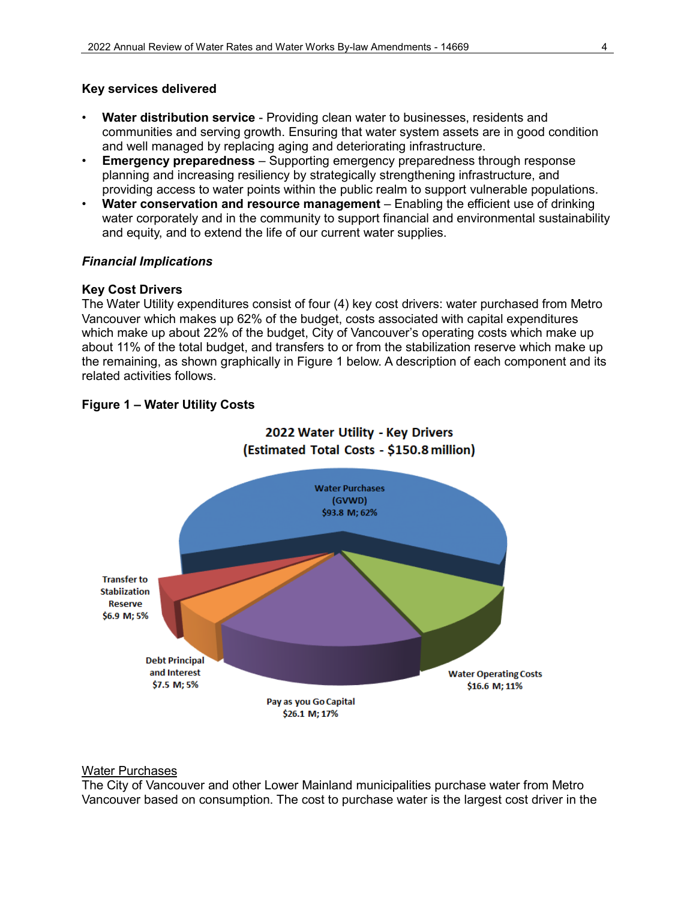# **Key services delivered**

- **Water distribution service** Providing clean water to businesses, residents and communities and serving growth. Ensuring that water system assets are in good condition and well managed by replacing aging and deteriorating infrastructure.
- **Emergency preparedness** Supporting emergency preparedness through response planning and increasing resiliency by strategically strengthening infrastructure, and providing access to water points within the public realm to support vulnerable populations.
- **Water conservation and resource management** Enabling the efficient use of drinking water corporately and in the community to support financial and environmental sustainability and equity, and to extend the life of our current water supplies.

# *Financial Implications*

# **Key Cost Drivers**

The Water Utility expenditures consist of four (4) key cost drivers: water purchased from Metro Vancouver which makes up 62% of the budget, costs associated with capital expenditures which make up about 22% of the budget, City of Vancouver's operating costs which make up about 11% of the total budget, and transfers to or from the stabilization reserve which make up the remaining, as shown graphically in Figure 1 below. A description of each component and its related activities follows.

# **Figure 1 – Water Utility Costs**



# 2022 Water Utility - Key Drivers

# Water Purchases

The City of Vancouver and other Lower Mainland municipalities purchase water from Metro Vancouver based on consumption. The cost to purchase water is the largest cost driver in the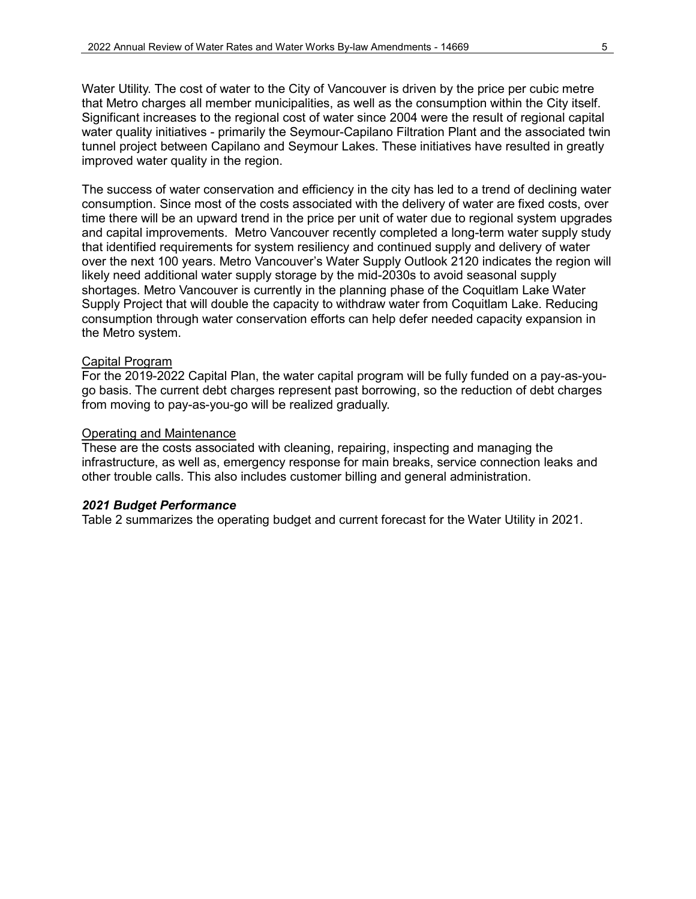Water Utility. The cost of water to the City of Vancouver is driven by the price per cubic metre that Metro charges all member municipalities, as well as the consumption within the City itself. Significant increases to the regional cost of water since 2004 were the result of regional capital water quality initiatives - primarily the Seymour-Capilano Filtration Plant and the associated twin tunnel project between Capilano and Seymour Lakes. These initiatives have resulted in greatly improved water quality in the region.

The success of water conservation and efficiency in the city has led to a trend of declining water consumption. Since most of the costs associated with the delivery of water are fixed costs, over time there will be an upward trend in the price per unit of water due to regional system upgrades and capital improvements. Metro Vancouver recently completed a long-term water supply study that identified requirements for system resiliency and continued supply and delivery of water over the next 100 years. Metro Vancouver's Water Supply Outlook 2120 indicates the region will likely need additional water supply storage by the mid-2030s to avoid seasonal supply shortages. Metro Vancouver is currently in the planning phase of the Coquitlam Lake Water Supply Project that will double the capacity to withdraw water from Coquitlam Lake. Reducing consumption through water conservation efforts can help defer needed capacity expansion in the Metro system.

#### Capital Program

For the 2019-2022 Capital Plan, the water capital program will be fully funded on a pay-as-yougo basis. The current debt charges represent past borrowing, so the reduction of debt charges from moving to pay-as-you-go will be realized gradually.

#### Operating and Maintenance

These are the costs associated with cleaning, repairing, inspecting and managing the infrastructure, as well as, emergency response for main breaks, service connection leaks and other trouble calls. This also includes customer billing and general administration.

#### *2021 Budget Performance*

Table 2 summarizes the operating budget and current forecast for the Water Utility in 2021.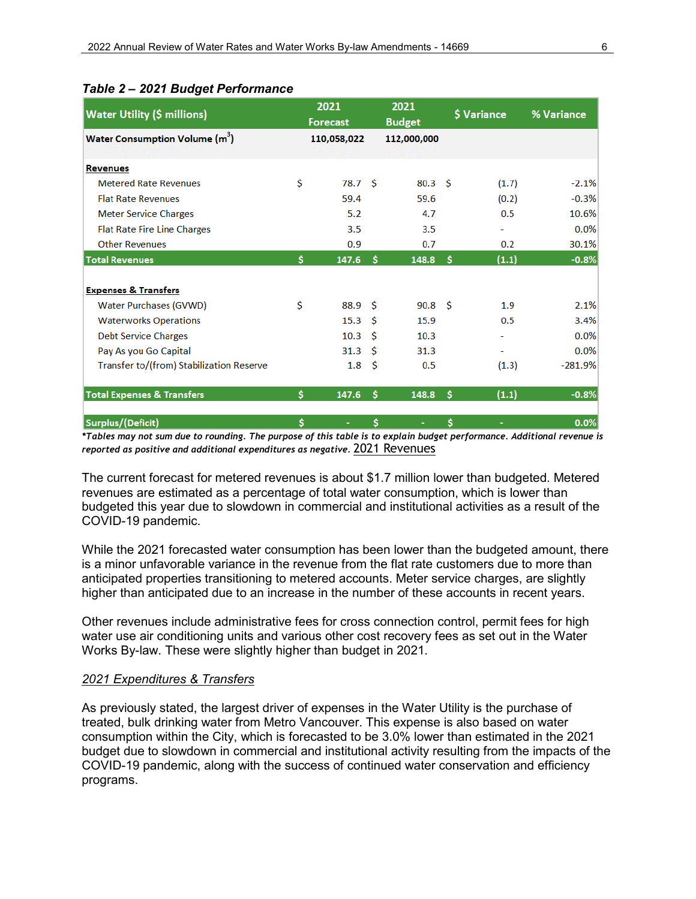| <b>Water Utility (\$ millions)</b>         | 2021<br><b>Forecast</b> |                   |     | 2021<br><b>Budget</b> | <b>S</b> Variance | % Variance |
|--------------------------------------------|-------------------------|-------------------|-----|-----------------------|-------------------|------------|
| Water Consumption Volume (m <sup>3</sup> ) |                         | 110,058,022       |     | 112,000,000           |                   |            |
| <b>Revenues</b>                            |                         |                   |     |                       |                   |            |
| <b>Metered Rate Revenues</b>               | Ś                       | 78.7 <sup>5</sup> |     | 80.3 <sup>5</sup>     | (1.7)             | $-2.1%$    |
| <b>Flat Rate Revenues</b>                  |                         | 59.4              |     | 59.6                  | (0.2)             | $-0.3%$    |
| <b>Meter Service Charges</b>               |                         | 5.2               |     | 4.7                   | 0.5               | 10.6%      |
| <b>Flat Rate Fire Line Charges</b>         |                         | 3.5               |     | 3.5                   |                   | 0.0%       |
| <b>Other Revenues</b>                      |                         | 0.9               |     | 0.7                   | 0.2               | 30.1%      |
| <b>Total Revenues</b>                      | \$                      | 147.6             | S   | 148.8                 | (1.1)<br>Ŝ.       | $-0.8%$    |
| <b>Expenses &amp; Transfers</b>            |                         |                   |     |                       |                   |            |
| <b>Water Purchases (GVWD)</b>              | Ś                       | 88.9              | - Ś | 90.8 <sup>5</sup>     | 1.9               | 2.1%       |
| <b>Waterworks Operations</b>               |                         | 15.3              | Ŝ   | 15.9                  | 0.5               | 3.4%       |
| <b>Debt Service Charges</b>                |                         | 10.3              | Ŝ   | 10.3                  |                   | 0.0%       |
| Pay As you Go Capital                      |                         | 31.3              | Ŝ   | 31.3                  | ۰                 | 0.0%       |
| Transfer to/(from) Stabilization Reserve   |                         | 1.8               | -Ŝ  | 0.5                   | (1.3)             | $-281.9%$  |
| Total Expenses & Transfers                 | Ś                       | 147.6             | Ś   | 148.8                 | (1.1)<br>Ŝ        | $-0.8%$    |
| Surplus/(Deficit)                          | Ś.                      | ٠                 | \$  |                       | \$<br>۰           | 0.0%       |

## *Table 2 – 2021 Budget Performance*

*\*Tables may not sum due to rounding. The purpose of this table is to explain budget performance. Additional revenue is reported as positive and additional expenditures as negative.* 2021 Revenues

The current forecast for metered revenues is about \$1.7 million lower than budgeted. Metered revenues are estimated as a percentage of total water consumption, which is lower than budgeted this year due to slowdown in commercial and institutional activities as a result of the COVID-19 pandemic.

While the 2021 forecasted water consumption has been lower than the budgeted amount, there is a minor unfavorable variance in the revenue from the flat rate customers due to more than anticipated properties transitioning to metered accounts. Meter service charges, are slightly higher than anticipated due to an increase in the number of these accounts in recent years.

Other revenues include administrative fees for cross connection control, permit fees for high water use air conditioning units and various other cost recovery fees as set out in the Water Works By-law. These were slightly higher than budget in 2021.

#### *2021 Expenditures & Transfers*

As previously stated, the largest driver of expenses in the Water Utility is the purchase of treated, bulk drinking water from Metro Vancouver. This expense is also based on water consumption within the City, which is forecasted to be 3.0% lower than estimated in the 2021 budget due to slowdown in commercial and institutional activity resulting from the impacts of the COVID-19 pandemic, along with the success of continued water conservation and efficiency programs.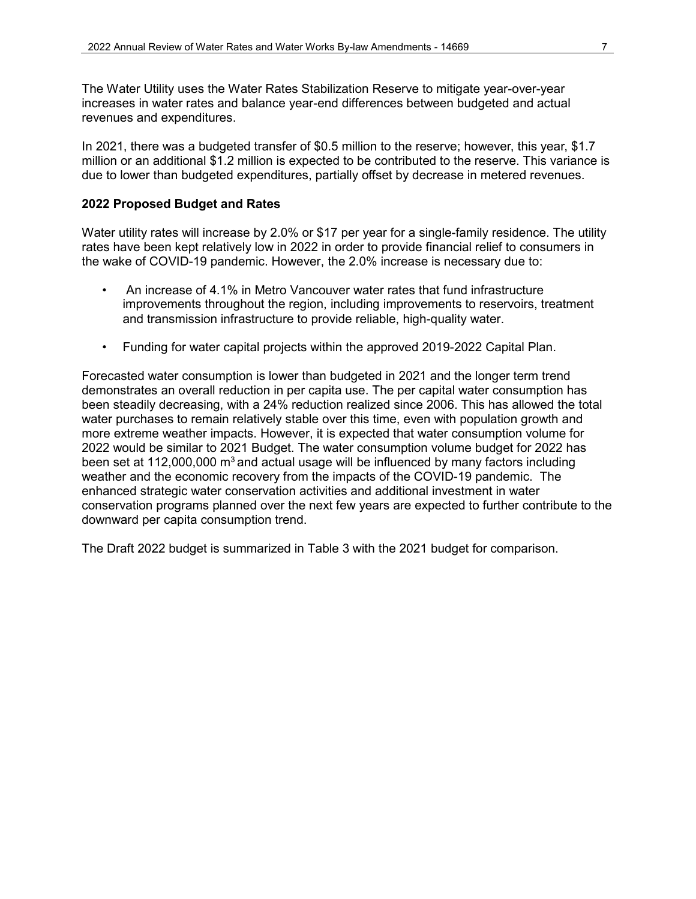The Water Utility uses the Water Rates Stabilization Reserve to mitigate year-over-year increases in water rates and balance year-end differences between budgeted and actual revenues and expenditures.

In 2021, there was a budgeted transfer of \$0.5 million to the reserve; however, this year, \$1.7 million or an additional \$1.2 million is expected to be contributed to the reserve. This variance is due to lower than budgeted expenditures, partially offset by decrease in metered revenues.

#### **2022 Proposed Budget and Rates**

Water utility rates will increase by 2.0% or \$17 per year for a single-family residence. The utility rates have been kept relatively low in 2022 in order to provide financial relief to consumers in the wake of COVID-19 pandemic. However, the 2.0% increase is necessary due to:

- An increase of 4.1% in Metro Vancouver water rates that fund infrastructure improvements throughout the region, including improvements to reservoirs, treatment and transmission infrastructure to provide reliable, high-quality water.
- Funding for water capital projects within the approved 2019-2022 Capital Plan.

Forecasted water consumption is lower than budgeted in 2021 and the longer term trend demonstrates an overall reduction in per capita use. The per capital water consumption has been steadily decreasing, with a 24% reduction realized since 2006. This has allowed the total water purchases to remain relatively stable over this time, even with population growth and more extreme weather impacts. However, it is expected that water consumption volume for 2022 would be similar to 2021 Budget. The water consumption volume budget for 2022 has been set at 112,000,000  $m<sup>3</sup>$  and actual usage will be influenced by many factors including weather and the economic recovery from the impacts of the COVID-19 pandemic. The enhanced strategic water conservation activities and additional investment in water conservation programs planned over the next few years are expected to further contribute to the downward per capita consumption trend.

The Draft 2022 budget is summarized in Table 3 with the 2021 budget for comparison.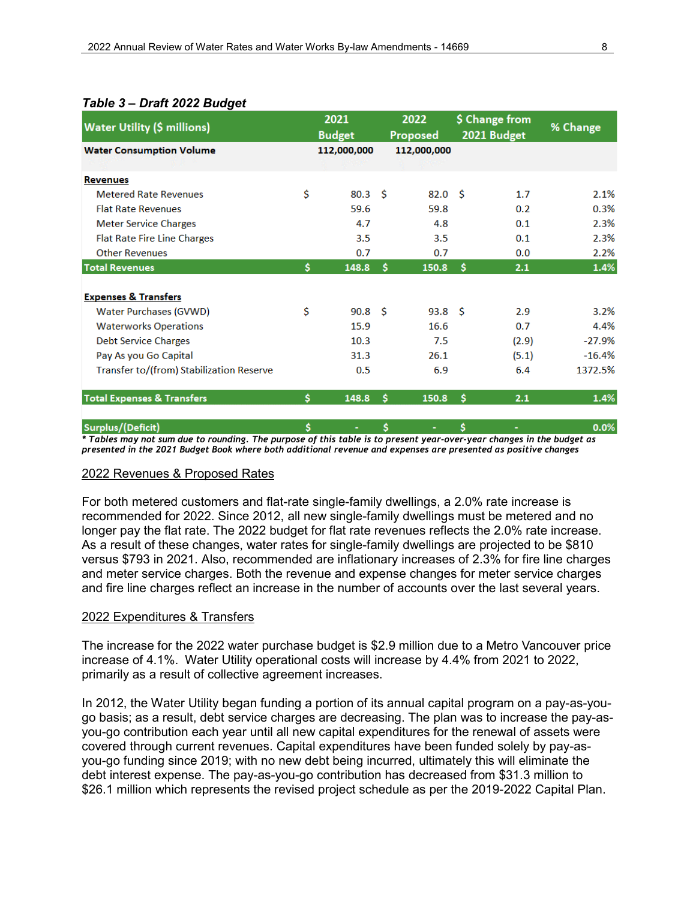| <b>Water Utility (\$ millions)</b>       |    | 2021<br><b>Budget</b> |    | 2022<br>Proposed  | \$ Change from<br>2021 Budget |       | % Change |  |
|------------------------------------------|----|-----------------------|----|-------------------|-------------------------------|-------|----------|--|
| <b>Water Consumption Volume</b>          |    | 112,000,000           |    | 112,000,000       |                               |       |          |  |
|                                          |    |                       |    |                   |                               |       |          |  |
| <b>Revenues</b>                          |    |                       |    |                   |                               |       |          |  |
| <b>Metered Rate Revenues</b>             | \$ | 80.3 <sup>5</sup>     |    | 82.0 <sup>5</sup> |                               | 1.7   | 2.1%     |  |
| <b>Flat Rate Revenues</b>                |    | 59.6                  |    | 59.8              |                               | 0.2   | 0.3%     |  |
| <b>Meter Service Charges</b>             |    | 4.7                   |    | 4.8               |                               | 0.1   | 2.3%     |  |
| <b>Flat Rate Fire Line Charges</b>       |    | 3.5                   |    | 3.5               |                               | 0.1   | 2.3%     |  |
| <b>Other Revenues</b>                    |    | 0.7                   |    | 0.7               |                               | 0.0   | 2.2%     |  |
| <b>Total Revenues</b>                    | \$ | 148.8                 | Ŝ. | 150.8             | Ŝ.                            | 2.1   | 1.4%     |  |
|                                          |    |                       |    |                   |                               |       |          |  |
| <b>Expenses &amp; Transfers</b>          |    |                       |    |                   |                               |       |          |  |
| Water Purchases (GVWD)                   | Ś  | $90.8 \quad $$        |    | 93.8 <sup>5</sup> |                               | 2.9   | 3.2%     |  |
| <b>Waterworks Operations</b>             |    | 15.9                  |    | 16.6              |                               | 0.7   | 4.4%     |  |
| <b>Debt Service Charges</b>              |    | 10.3                  |    | 7.5               |                               | (2.9) | $-27.9%$ |  |
| Pay As you Go Capital                    |    | 31.3                  |    | 26.1              |                               | (5.1) | $-16.4%$ |  |
| Transfer to/(from) Stabilization Reserve |    | 0.5                   |    | 6.9               |                               | 6.4   | 1372.5%  |  |
| <b>Total Expenses &amp; Transfers</b>    | \$ | 148.8                 | Ŝ  | 150.8             | Ś                             | 2.1   | 1.4%     |  |
| Surplus/(Deficit)                        | \$ | ٠                     | \$ | ٠                 | \$                            |       | 0.0%     |  |

*\* Tables may not sum due to rounding. The purpose of this table is to present year-over-year changes in the budget as presented in the 2021 Budget Book where both additional revenue and expenses are presented as positive changes* 

#### 2022 Revenues & Proposed Rates

For both metered customers and flat-rate single-family dwellings, a 2.0% rate increase is recommended for 2022. Since 2012, all new single-family dwellings must be metered and no longer pay the flat rate. The 2022 budget for flat rate revenues reflects the 2.0% rate increase. As a result of these changes, water rates for single-family dwellings are projected to be \$810 versus \$793 in 2021. Also, recommended are inflationary increases of 2.3% for fire line charges and meter service charges. Both the revenue and expense changes for meter service charges and fire line charges reflect an increase in the number of accounts over the last several years.

#### 2022 Expenditures & Transfers

The increase for the 2022 water purchase budget is \$2.9 million due to a Metro Vancouver price increase of 4.1%. Water Utility operational costs will increase by 4.4% from 2021 to 2022, primarily as a result of collective agreement increases.

In 2012, the Water Utility began funding a portion of its annual capital program on a pay-as-yougo basis; as a result, debt service charges are decreasing. The plan was to increase the pay-asyou-go contribution each year until all new capital expenditures for the renewal of assets were covered through current revenues. Capital expenditures have been funded solely by pay-asyou-go funding since 2019; with no new debt being incurred, ultimately this will eliminate the debt interest expense. The pay-as-you-go contribution has decreased from \$31.3 million to \$26.1 million which represents the revised project schedule as per the 2019-2022 Capital Plan.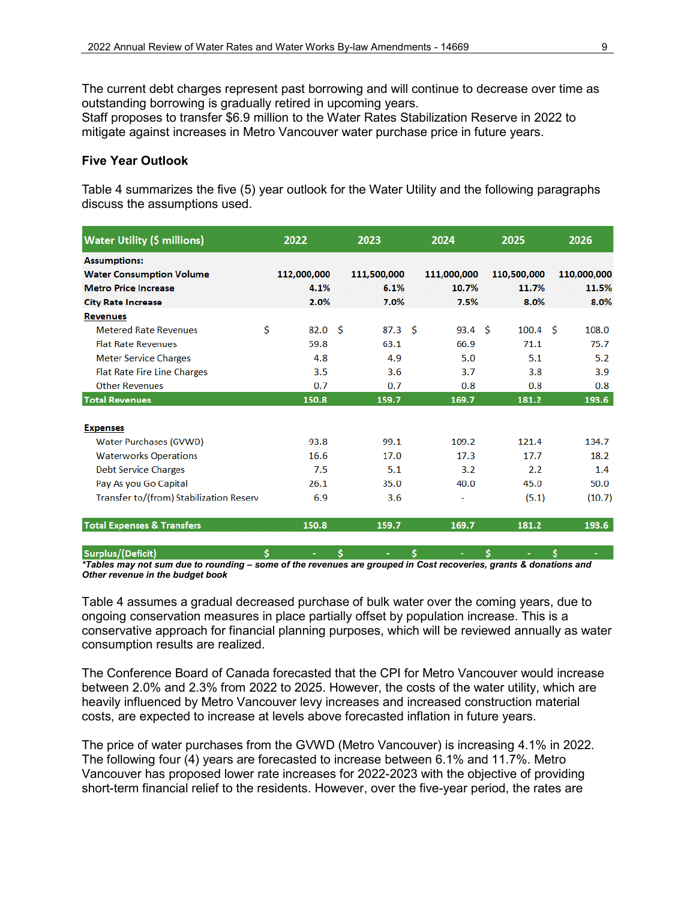The current debt charges represent past borrowing and will continue to decrease over time as outstanding borrowing is gradually retired in upcoming years.

Staff proposes to transfer \$6.9 million to the Water Rates Stabilization Reserve in 2022 to mitigate against increases in Metro Vancouver water purchase price in future years.

#### **Five Year Outlook**

Table 4 summarizes the five (5) year outlook for the Water Utility and the following paragraphs discuss the assumptions used.

| <b>Water Utility (\$ millions)</b>      |    | 2022        |    | 2023              |    | 2024              | 2025               | 2026        |
|-----------------------------------------|----|-------------|----|-------------------|----|-------------------|--------------------|-------------|
| <b>Assumptions:</b>                     |    |             |    |                   |    |                   |                    |             |
| <b>Water Consumption Volume</b>         |    | 112,000,000 |    | 111,500,000       |    | 111,000,000       | 110,500,000        | 110,000,000 |
| <b>Metro Price Increase</b>             |    | 4.1%        |    | 6.1%              |    | 10.7%             | 11.7%              | 11.5%       |
| <b>City Rate Increase</b>               |    | 2.0%        |    | 7.0%              |    | 7.5%              | 8.0%               | 8.0%        |
| <b>Revenues</b>                         |    |             |    |                   |    |                   |                    |             |
| <b>Metered Rate Revenues</b>            | \$ | 82.0        | Ŝ  | 87.3 <sup>5</sup> |    | 93.4 <sup>5</sup> | 100.4 <sup>5</sup> | 108.0       |
| <b>Flat Rate Revenues</b>               |    | 59.8        |    | 63.1              |    | 66.9              | 71.1               | 75.7        |
| <b>Meter Service Charges</b>            |    | 4.8         |    | 4.9               |    | 5.0               | 5.1                | 5.2         |
| <b>Flat Rate Fire Line Charges</b>      |    | 3.5         |    | 3.6               |    | 3.7               | 3.8                | 3.9         |
| <b>Other Revenues</b>                   |    | 0.7         |    | 0.7               |    | 0.8               | 0.8                | 0.8         |
| <b>Total Revenues</b>                   |    | 150.8       |    | 159.7             |    | 169.7             | 181.2              | 193.6       |
|                                         |    |             |    |                   |    |                   |                    |             |
| <b>Expenses</b>                         |    |             |    |                   |    |                   |                    |             |
| <b>Water Purchases (GVWD)</b>           |    | 93.8        |    | 99.1              |    | 109.2             | 121.4              | 134.7       |
| <b>Waterworks Operations</b>            |    | 16.6        |    | 17.0              |    | 17.3              | 17.7               | 18.2        |
| <b>Debt Service Charges</b>             |    | 7.5         |    | 5.1               |    | 3.2               | 2.2                | 1.4         |
| Pay As you Go Capital                   |    | 26.1        |    | 35.0              |    | 40.0              | 45.0               | 50.0        |
| Transfer to/(from) Stabilization Reserv |    | 6.9         |    | 3.6               |    | ۰                 | (5.1)              | (10.7)      |
| <b>Total Expenses &amp; Transfers</b>   |    | 150.8       |    | 159.7             |    | 169.7             | 181.2              | 193.6       |
| Surplus/(Deficit)                       | Ŝ. | ٠           | Š. | ٠                 | Š. | ÷                 | Ŝ.<br>٠            | Š.<br>÷     |

*\*Tables may not sum due to rounding – some of the revenues are grouped in Cost recoveries, grants & donations and Other revenue in the budget book* 

Table 4 assumes a gradual decreased purchase of bulk water over the coming years, due to ongoing conservation measures in place partially offset by population increase. This is a conservative approach for financial planning purposes, which will be reviewed annually as water consumption results are realized.

The Conference Board of Canada forecasted that the CPI for Metro Vancouver would increase between 2.0% and 2.3% from 2022 to 2025. However, the costs of the water utility, which are heavily influenced by Metro Vancouver levy increases and increased construction material costs, are expected to increase at levels above forecasted inflation in future years.

The price of water purchases from the GVWD (Metro Vancouver) is increasing 4.1% in 2022. The following four (4) years are forecasted to increase between 6.1% and 11.7%. Metro Vancouver has proposed lower rate increases for 2022-2023 with the objective of providing short-term financial relief to the residents. However, over the five-year period, the rates are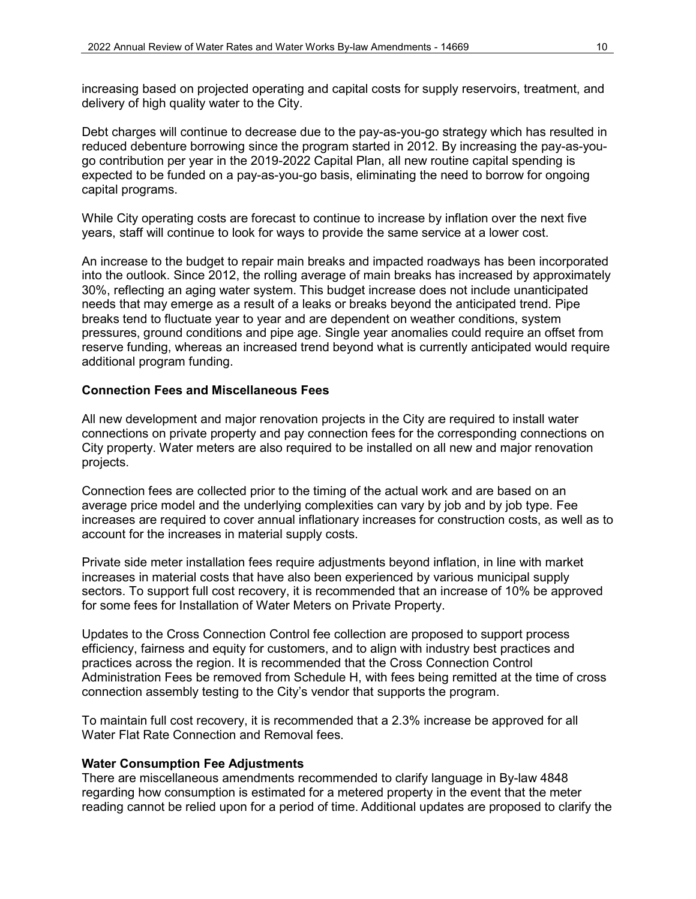increasing based on projected operating and capital costs for supply reservoirs, treatment, and delivery of high quality water to the City.

Debt charges will continue to decrease due to the pay-as-you-go strategy which has resulted in reduced debenture borrowing since the program started in 2012. By increasing the pay-as-yougo contribution per year in the 2019-2022 Capital Plan, all new routine capital spending is expected to be funded on a pay-as-you-go basis, eliminating the need to borrow for ongoing capital programs.

While City operating costs are forecast to continue to increase by inflation over the next five years, staff will continue to look for ways to provide the same service at a lower cost.

An increase to the budget to repair main breaks and impacted roadways has been incorporated into the outlook. Since 2012, the rolling average of main breaks has increased by approximately 30%, reflecting an aging water system. This budget increase does not include unanticipated needs that may emerge as a result of a leaks or breaks beyond the anticipated trend. Pipe breaks tend to fluctuate year to year and are dependent on weather conditions, system pressures, ground conditions and pipe age. Single year anomalies could require an offset from reserve funding, whereas an increased trend beyond what is currently anticipated would require additional program funding.

#### **Connection Fees and Miscellaneous Fees**

All new development and major renovation projects in the City are required to install water connections on private property and pay connection fees for the corresponding connections on City property. Water meters are also required to be installed on all new and major renovation projects.

Connection fees are collected prior to the timing of the actual work and are based on an average price model and the underlying complexities can vary by job and by job type. Fee increases are required to cover annual inflationary increases for construction costs, as well as to account for the increases in material supply costs.

Private side meter installation fees require adjustments beyond inflation, in line with market increases in material costs that have also been experienced by various municipal supply sectors. To support full cost recovery, it is recommended that an increase of 10% be approved for some fees for Installation of Water Meters on Private Property.

Updates to the Cross Connection Control fee collection are proposed to support process efficiency, fairness and equity for customers, and to align with industry best practices and practices across the region. It is recommended that the Cross Connection Control Administration Fees be removed from Schedule H, with fees being remitted at the time of cross connection assembly testing to the City's vendor that supports the program.

To maintain full cost recovery, it is recommended that a 2.3% increase be approved for all Water Flat Rate Connection and Removal fees.

#### **Water Consumption Fee Adjustments**

There are miscellaneous amendments recommended to clarify language in By-law 4848 regarding how consumption is estimated for a metered property in the event that the meter reading cannot be relied upon for a period of time. Additional updates are proposed to clarify the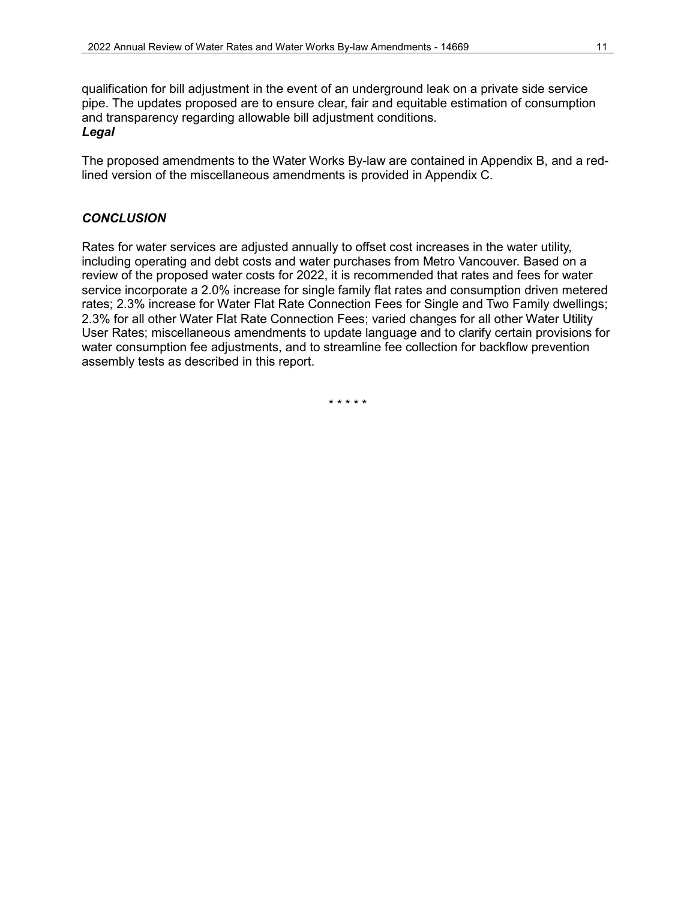qualification for bill adjustment in the event of an underground leak on a private side service pipe. The updates proposed are to ensure clear, fair and equitable estimation of consumption and transparency regarding allowable bill adjustment conditions. *Legal*

The proposed amendments to the Water Works By-law are contained in Appendix B, and a redlined version of the miscellaneous amendments is provided in Appendix C.

#### *CONCLUSION*

Rates for water services are adjusted annually to offset cost increases in the water utility, including operating and debt costs and water purchases from Metro Vancouver. Based on a review of the proposed water costs for 2022, it is recommended that rates and fees for water service incorporate a 2.0% increase for single family flat rates and consumption driven metered rates; 2.3% increase for Water Flat Rate Connection Fees for Single and Two Family dwellings; 2.3% for all other Water Flat Rate Connection Fees; varied changes for all other Water Utility User Rates; miscellaneous amendments to update language and to clarify certain provisions for water consumption fee adjustments, and to streamline fee collection for backflow prevention assembly tests as described in this report.

\* \* \* \* \*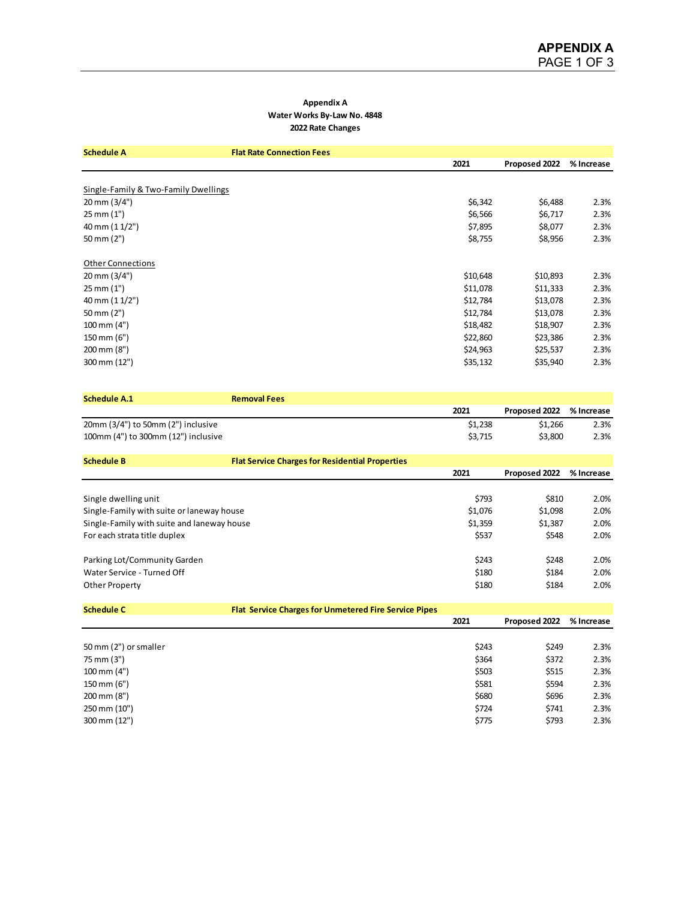#### **Appendix A Water Works By-Law No. 4848 2022 Rate Changes**

| <b>Schedule A</b>                    | <b>Flat Rate Connection Fees</b> |          |               |            |
|--------------------------------------|----------------------------------|----------|---------------|------------|
|                                      |                                  | 2021     | Proposed 2022 | % Increase |
|                                      |                                  |          |               |            |
| Single-Family & Two-Family Dwellings |                                  |          |               |            |
| 20 mm (3/4")                         |                                  | \$6,342  | \$6,488       | 2.3%       |
| 25 mm (1")                           |                                  | \$6,566  | \$6,717       | 2.3%       |
| 40 mm (1 1/2")                       |                                  | \$7,895  | \$8,077       | 2.3%       |
| 50 mm (2")                           |                                  | \$8,755  | \$8,956       | 2.3%       |
|                                      |                                  |          |               |            |
| <b>Other Connections</b>             |                                  |          |               |            |
| 20 mm (3/4")                         |                                  | \$10,648 | \$10,893      | 2.3%       |
| 25 mm (1")                           |                                  | \$11,078 | \$11,333      | 2.3%       |
| 40 mm (1 1/2")                       |                                  | \$12,784 | \$13,078      | 2.3%       |
| 50 mm (2")                           |                                  | \$12,784 | \$13,078      | 2.3%       |
| 100 mm (4")                          |                                  | \$18,482 | \$18,907      | 2.3%       |
| 150 mm (6")                          |                                  | \$22,860 | \$23,386      | 2.3%       |
| 200 mm (8")                          |                                  | \$24,963 | \$25,537      | 2.3%       |
| 300 mm (12")                         |                                  | \$35,132 | \$35,940      | 2.3%       |

| <b>Schedule A.1</b>                        | <b>Removal Fees</b>                                          |         |               |            |
|--------------------------------------------|--------------------------------------------------------------|---------|---------------|------------|
|                                            |                                                              | 2021    | Proposed 2022 | % Increase |
| 20mm (3/4") to 50mm (2") inclusive         |                                                              | \$1,238 | \$1,266       | 2.3%       |
| 100mm (4") to 300mm (12") inclusive        |                                                              | \$3,715 | \$3,800       | 2.3%       |
| <b>Schedule B</b>                          | <b>Flat Service Charges for Residential Properties</b>       |         |               |            |
|                                            |                                                              | 2021    | Proposed 2022 | % Increase |
|                                            |                                                              |         |               |            |
| Single dwelling unit                       |                                                              | \$793   | \$810         | 2.0%       |
| Single-Family with suite or laneway house  |                                                              | \$1,076 | \$1,098       | 2.0%       |
| Single-Family with suite and laneway house |                                                              | \$1,359 | \$1,387       | 2.0%       |
| For each strata title duplex               |                                                              | \$537   | \$548         | 2.0%       |
| Parking Lot/Community Garden               |                                                              | \$243   | \$248         | 2.0%       |
| Water Service - Turned Off                 |                                                              | \$180   | \$184         | 2.0%       |
| <b>Other Property</b>                      |                                                              | \$180   | \$184         | 2.0%       |
| <b>Schedule C</b>                          | <b>Flat Service Charges for Unmetered Fire Service Pipes</b> |         |               |            |
|                                            |                                                              | 2021    | Proposed 2022 | % Increase |
|                                            |                                                              |         |               |            |

| 50 mm (2") or smaller   | \$243 | \$249 | 2.3% |
|-------------------------|-------|-------|------|
| 75 mm (3")              | \$364 | \$372 | 2.3% |
| $100 \, \text{mm}$ (4") | \$503 | \$515 | 2.3% |
| 150 mm (6")             | \$581 | \$594 | 2.3% |
| 200 mm (8")             | \$680 | \$696 | 2.3% |
| 250 mm (10")            | \$724 | \$741 | 2.3% |
| 300 mm (12")            | \$775 | \$793 | 2.3% |
|                         |       |       |      |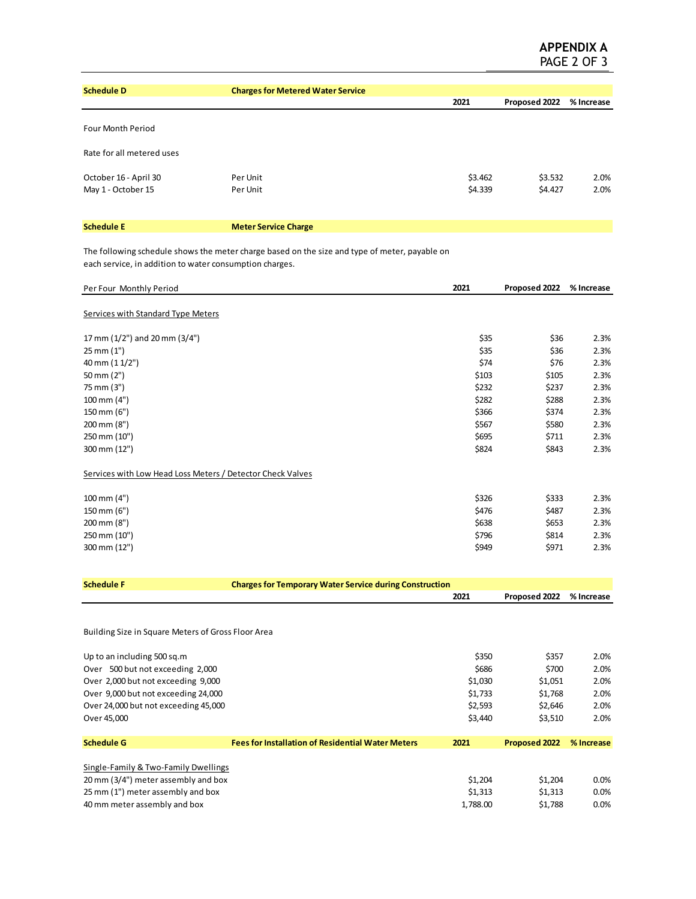| <b>Schedule D</b>         | <b>Charges for Metered Water Service</b> |         |               |            |
|---------------------------|------------------------------------------|---------|---------------|------------|
|                           |                                          | 2021    | Proposed 2022 | % Increase |
| <b>Four Month Period</b>  |                                          |         |               |            |
| Rate for all metered uses |                                          |         |               |            |
| October 16 - April 30     | Per Unit                                 | \$3.462 | \$3.532       | 2.0%       |
| May 1 - October 15        | Per Unit                                 | \$4.339 | \$4.427       | 2.0%       |
|                           |                                          |         |               |            |
| <b>Schedule E</b>         | <b>Meter Service Charge</b>              |         |               |            |

The following schedule shows the meter charge based on the size and type of meter, payable on each service, in addition to water consumption charges.

| Per Four Monthly Period                                    |                                                                | 2021     | Proposed 2022 | % Increase |
|------------------------------------------------------------|----------------------------------------------------------------|----------|---------------|------------|
| <b>Services with Standard Type Meters</b>                  |                                                                |          |               |            |
| 17 mm (1/2") and 20 mm (3/4")                              |                                                                | \$35     | \$36          | 2.3%       |
| 25 mm (1")                                                 |                                                                | \$35     | \$36          | 2.3%       |
| 40 mm (1 1/2")                                             |                                                                | \$74     | \$76          | 2.3%       |
| 50 mm (2")                                                 |                                                                | \$103    | \$105         | 2.3%       |
| 75 mm (3")                                                 |                                                                | \$232    | \$237         | 2.3%       |
| 100 mm (4")                                                |                                                                | \$282    | \$288         | 2.3%       |
| 150 mm (6")                                                |                                                                | \$366    | \$374         | 2.3%       |
| 200 mm (8")                                                |                                                                | \$567    | \$580         | 2.3%       |
| 250 mm (10")                                               |                                                                | \$695    | \$711         | 2.3%       |
| 300 mm (12")                                               |                                                                | \$824    | \$843         | 2.3%       |
| Services with Low Head Loss Meters / Detector Check Valves |                                                                |          |               |            |
| 100 mm (4")                                                |                                                                | \$326    | \$333         | 2.3%       |
| 150 mm (6")                                                |                                                                | \$476    | \$487         | 2.3%       |
| 200 mm (8")                                                |                                                                | \$638    | \$653         | 2.3%       |
| 250 mm (10")                                               |                                                                | \$796    | \$814         | 2.3%       |
| 300 mm (12")                                               |                                                                | \$949    | \$971         | 2.3%       |
|                                                            |                                                                |          |               |            |
| <b>Schedule F</b>                                          | <b>Charges for Temporary Water Service during Construction</b> |          |               |            |
|                                                            |                                                                | 2021     | Proposed 2022 | % Increase |
| Building Size in Square Meters of Gross Floor Area         |                                                                |          |               |            |
| Up to an including 500 sq.m                                |                                                                | \$350    | \$357         | 2.0%       |
| Over 500 but not exceeding 2,000                           |                                                                | \$686    | \$700         | 2.0%       |
| Over 2,000 but not exceeding 9,000                         |                                                                | \$1,030  | \$1,051       | 2.0%       |
| Over 9,000 but not exceeding 24,000                        |                                                                | \$1,733  | \$1,768       | 2.0%       |
| Over 24,000 but not exceeding 45,000                       |                                                                | \$2,593  | \$2,646       | 2.0%       |
| Over 45,000                                                |                                                                | \$3,440  | \$3,510       | 2.0%       |
| <b>Schedule G</b>                                          | <b>Fees for Installation of Residential Water Meters</b>       | 2021     | Proposed 2022 | % Increase |
| Single-Family & Two-Family Dwellings                       |                                                                |          |               |            |
| 20 mm (3/4") meter assembly and box                        |                                                                | \$1,204  | \$1,204       | 0.0%       |
| 25 mm (1") meter assembly and box                          |                                                                | \$1,313  | \$1,313       | 0.0%       |
| 40 mm meter assembly and box                               |                                                                | 1,788.00 | \$1,788       | 0.0%       |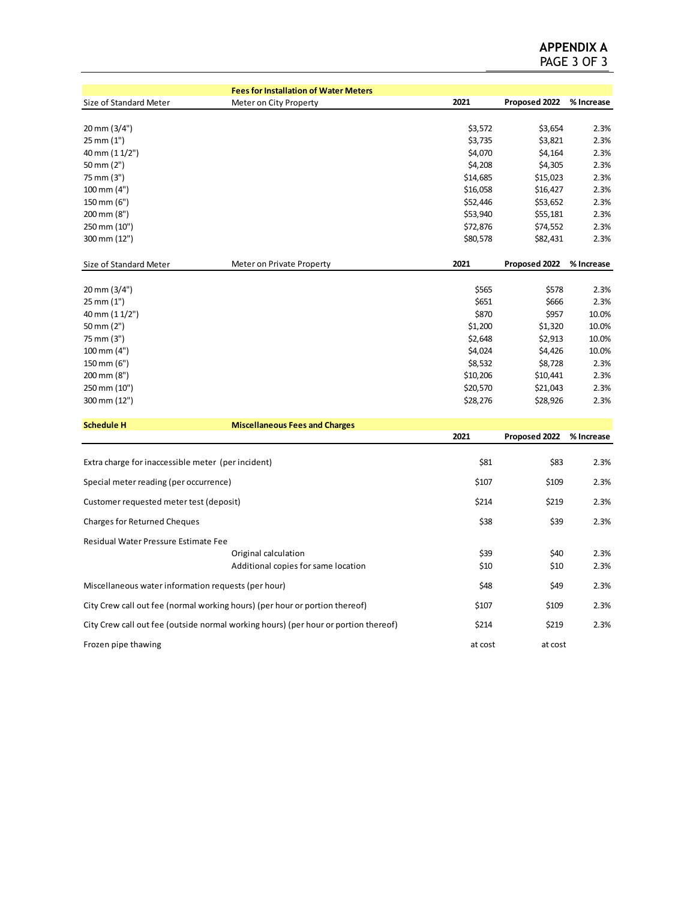|                                                                             | <b>Fees for Installation of Water Meters</b>                                        |          |               |            |
|-----------------------------------------------------------------------------|-------------------------------------------------------------------------------------|----------|---------------|------------|
| Size of Standard Meter                                                      | Meter on City Property                                                              | 2021     | Proposed 2022 | % Increase |
|                                                                             |                                                                                     |          |               |            |
| 20 mm (3/4")                                                                |                                                                                     | \$3,572  | \$3,654       | 2.3%       |
| 25 mm (1")                                                                  |                                                                                     | \$3,735  | \$3,821       | 2.3%       |
| 40 mm (1 1/2")                                                              |                                                                                     | \$4,070  | \$4,164       | 2.3%       |
| 50 mm (2")                                                                  |                                                                                     | \$4,208  | \$4,305       | 2.3%       |
| 75 mm (3")                                                                  |                                                                                     | \$14,685 | \$15,023      | 2.3%       |
| $100 \, \text{mm}$ (4")                                                     |                                                                                     | \$16,058 | \$16,427      | 2.3%       |
| 150 mm (6")                                                                 |                                                                                     | \$52,446 | \$53,652      | 2.3%       |
| 200 mm (8")                                                                 |                                                                                     | \$53,940 | \$55,181      | 2.3%       |
| 250 mm (10")                                                                |                                                                                     | \$72,876 | \$74,552      | 2.3%       |
| 300 mm (12")                                                                |                                                                                     | \$80,578 | \$82,431      | 2.3%       |
| Size of Standard Meter                                                      | Meter on Private Property                                                           | 2021     | Proposed 2022 | % Increase |
|                                                                             |                                                                                     |          |               |            |
| 20 mm (3/4")                                                                |                                                                                     | \$565    | \$578         | 2.3%       |
| 25 mm (1")                                                                  |                                                                                     | \$651    | \$666         | 2.3%       |
| 40 mm (1 1/2")                                                              |                                                                                     | \$870    | \$957         | 10.0%      |
| 50 mm (2")                                                                  |                                                                                     | \$1,200  | \$1,320       | 10.0%      |
| 75 mm (3")                                                                  |                                                                                     | \$2,648  | \$2,913       | 10.0%      |
| 100 mm (4")                                                                 |                                                                                     | \$4,024  | \$4,426       | 10.0%      |
| 150 mm (6")                                                                 |                                                                                     | \$8,532  | \$8,728       | 2.3%       |
| 200 mm (8")                                                                 |                                                                                     | \$10,206 | \$10,441      | 2.3%       |
| 250 mm (10")                                                                |                                                                                     | \$20,570 | \$21,043      | 2.3%       |
| 300 mm (12")                                                                |                                                                                     | \$28,276 | \$28,926      | 2.3%       |
| <b>Schedule H</b>                                                           | <b>Miscellaneous Fees and Charges</b>                                               |          |               |            |
|                                                                             |                                                                                     | 2021     | Proposed 2022 | % Increase |
|                                                                             |                                                                                     |          |               |            |
| Extra charge for inaccessible meter (per incident)                          |                                                                                     | \$81     | \$83          | 2.3%       |
| Special meter reading (per occurrence)                                      |                                                                                     | \$107    | \$109         | 2.3%       |
| Customer requested meter test (deposit)                                     |                                                                                     | \$214    | \$219         | 2.3%       |
| <b>Charges for Returned Cheques</b>                                         |                                                                                     | \$38     | \$39          | 2.3%       |
| Residual Water Pressure Estimate Fee                                        |                                                                                     |          |               |            |
|                                                                             | Original calculation                                                                | \$39     | \$40          | 2.3%       |
|                                                                             | Additional copies for same location                                                 | \$10     | \$10          | 2.3%       |
| Miscellaneous water information requests (per hour)                         |                                                                                     | \$48     | \$49          | 2.3%       |
| City Crew call out fee (normal working hours) (per hour or portion thereof) |                                                                                     | \$107    | \$109         | 2.3%       |
|                                                                             | City Crew call out fee (outside normal working hours) (per hour or portion thereof) | \$214    | \$219         | 2.3%       |
| Frozen pipe thawing                                                         | at cost                                                                             | at cost  |               |            |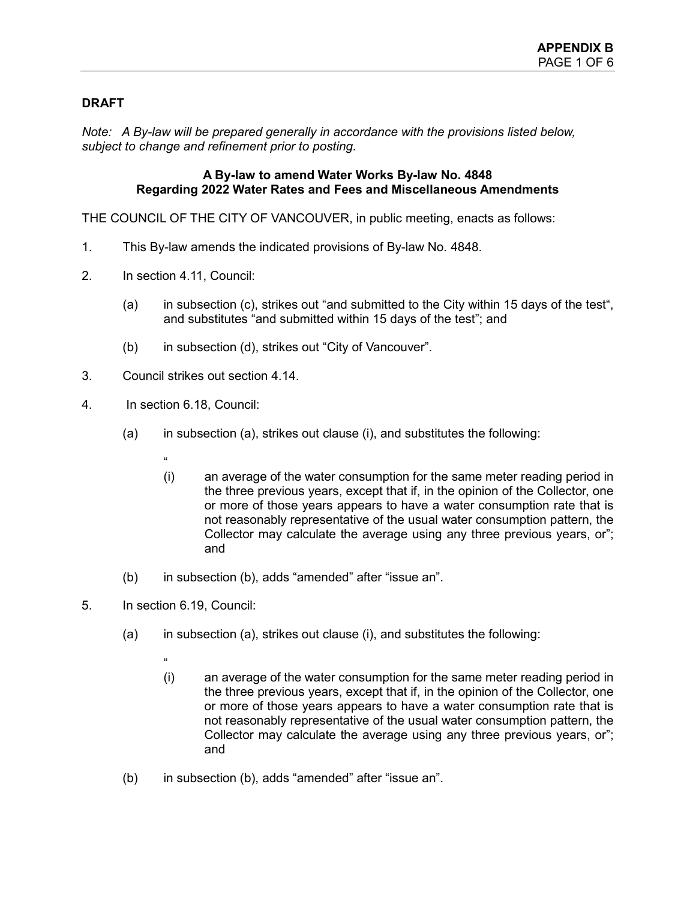# **DRAFT**

*Note: A By-law will be prepared generally in accordance with the provisions listed below, subject to change and refinement prior to posting.*

# **A By-law to amend Water Works By-law No. 4848 Regarding 2022 Water Rates and Fees and Miscellaneous Amendments**

THE COUNCIL OF THE CITY OF VANCOUVER, in public meeting, enacts as follows:

- 1. This By-law amends the indicated provisions of By-law No. 4848.
- 2. In section 4.11, Council:
	- (a) in subsection (c), strikes out "and submitted to the City within 15 days of the test", and substitutes "and submitted within 15 days of the test"; and
	- (b) in subsection (d), strikes out "City of Vancouver".
- 3. Council strikes out section 4.14.
- 4. In section 6.18, Council:
	- (a) in subsection (a), strikes out clause (i), and substitutes the following:
		- $^{\prime}$
		- (i) an average of the water consumption for the same meter reading period in the three previous years, except that if, in the opinion of the Collector, one or more of those years appears to have a water consumption rate that is not reasonably representative of the usual water consumption pattern, the Collector may calculate the average using any three previous years, or"; and
	- (b) in subsection (b), adds "amended" after "issue an".
- 5. In section 6.19, Council:
	- (a) in subsection (a), strikes out clause (i), and substitutes the following:
		- "
		- (i) an average of the water consumption for the same meter reading period in the three previous years, except that if, in the opinion of the Collector, one or more of those years appears to have a water consumption rate that is not reasonably representative of the usual water consumption pattern, the Collector may calculate the average using any three previous years, or"; and
	- (b) in subsection (b), adds "amended" after "issue an".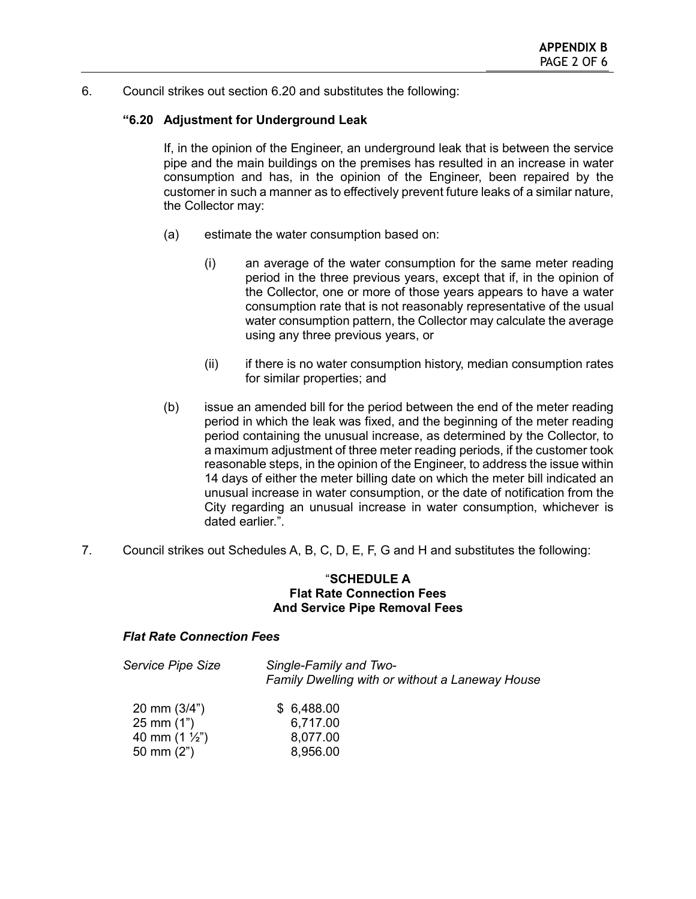6. Council strikes out section 6.20 and substitutes the following:

# **"6.20 Adjustment for Underground Leak**

If, in the opinion of the Engineer, an underground leak that is between the service pipe and the main buildings on the premises has resulted in an increase in water consumption and has, in the opinion of the Engineer, been repaired by the customer in such a manner as to effectively prevent future leaks of a similar nature, the Collector may:

- (a) estimate the water consumption based on:
	- (i) an average of the water consumption for the same meter reading period in the three previous years, except that if, in the opinion of the Collector, one or more of those years appears to have a water consumption rate that is not reasonably representative of the usual water consumption pattern, the Collector may calculate the average using any three previous years, or
	- (ii) if there is no water consumption history, median consumption rates for similar properties; and
- (b) issue an amended bill for the period between the end of the meter reading period in which the leak was fixed, and the beginning of the meter reading period containing the unusual increase, as determined by the Collector, to a maximum adjustment of three meter reading periods, if the customer took reasonable steps, in the opinion of the Engineer, to address the issue within 14 days of either the meter billing date on which the meter bill indicated an unusual increase in water consumption, or the date of notification from the City regarding an unusual increase in water consumption, whichever is dated earlier.".
- 7. Council strikes out Schedules A, B, C, D, E, F, G and H and substitutes the following:

## "**SCHEDULE A Flat Rate Connection Fees And Service Pipe Removal Fees**

## *Flat Rate Connection Fees*

| Service Pipe Size       | Single-Family and Two-<br>Family Dwelling with or without a Laneway House |
|-------------------------|---------------------------------------------------------------------------|
| 20 mm $(3/4")$          | \$6,488.00                                                                |
| $25 \, \text{mm}$ (1")  | 6,717.00                                                                  |
| 40 mm $(1 \frac{1}{2})$ | 8,077.00                                                                  |
| 50 mm $(2")$            | 8,956.00                                                                  |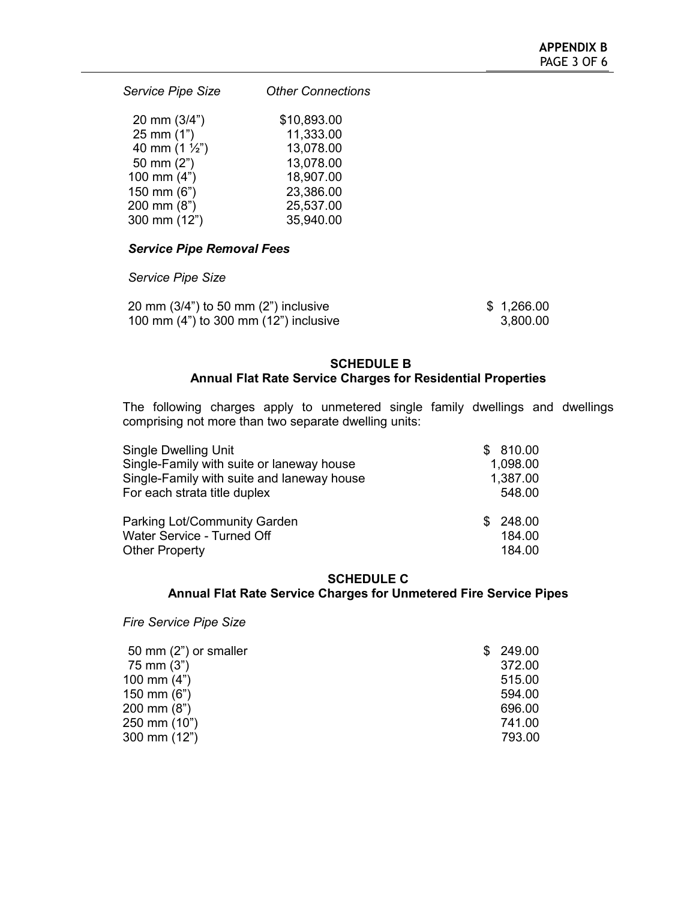*Service Pipe Size Other Connections* 20 mm (3/4") \$10,893.00<br>25 mm (1") 11,333.00  $25 \text{ mm} (1")$  11,333.00<br>40 mm (1 ½") 13,078.00

| 40 mm $(1 \frac{1}{2})$ | 13,078.00 |
|-------------------------|-----------|
| 50 mm $(2")$            | 13,078.00 |
| 100 mm $(4")$           | 18,907.00 |
| 150 mm (6")             | 23,386.00 |
| 200 mm (8")             | 25,537.00 |
| 300 mm (12")            | 35,940.00 |
|                         |           |

# *Service Pipe Removal Fees*

# *Service Pipe Size*

| 20 mm $(3/4)$ to 50 mm $(2)$ inclusive | \$1,266.00 |
|----------------------------------------|------------|
| 100 mm (4") to 300 mm (12") inclusive  | 3,800.00   |

# **SCHEDULE B Annual Flat Rate Service Charges for Residential Properties**

The following charges apply to unmetered single family dwellings and dwellings comprising not more than two separate dwelling units:

| <b>Single Dwelling Unit</b>                | \$810.00 |
|--------------------------------------------|----------|
| Single-Family with suite or laneway house  | 1,098.00 |
| Single-Family with suite and laneway house | 1,387.00 |
| For each strata title duplex               | 548.00   |
| Parking Lot/Community Garden               | \$248.00 |
| Water Service - Turned Off                 | 184.00   |
| <b>Other Property</b>                      | 184.00   |

#### **SCHEDULE C**

# **Annual Flat Rate Service Charges for Unmetered Fire Service Pipes**

*Fire Service Pipe Size*

| 50 mm (2") or smaller | \$249.00 |
|-----------------------|----------|
| 75 mm (3")            | 372.00   |
| 100 mm $(4")$         | 515.00   |
| 150 mm $(6")$         | 594.00   |
| 200 mm (8")           | 696.00   |
| 250 mm (10")          | 741.00   |
| 300 mm (12")          | 793.00   |
|                       |          |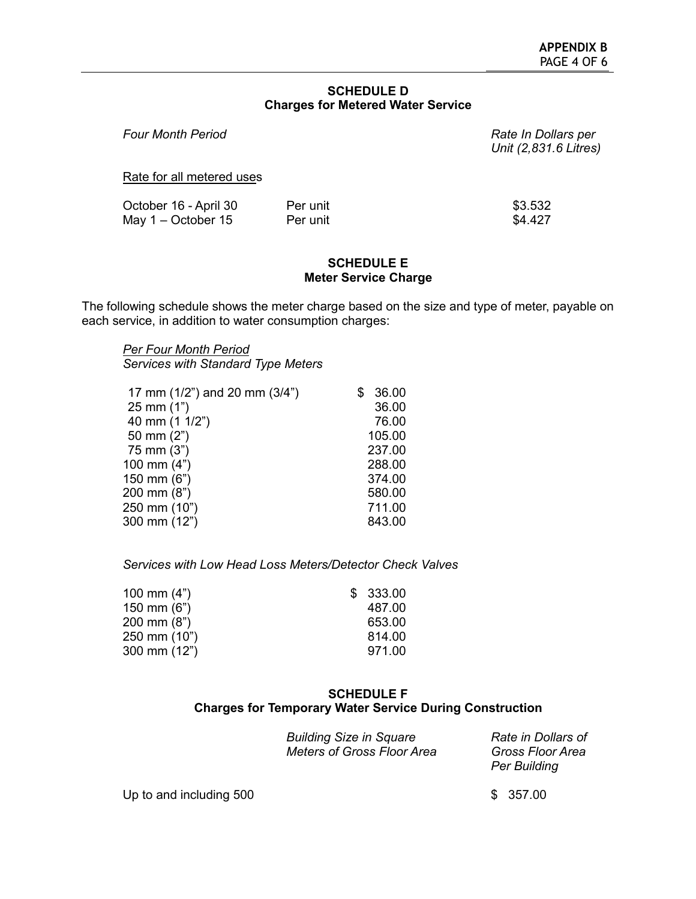## **SCHEDULE D Charges for Metered Water Service**

| <b>Four Month Period</b>                      |                      | Rate In Dollars per<br>Unit (2,831.6 Litres) |
|-----------------------------------------------|----------------------|----------------------------------------------|
| Rate for all metered uses                     |                      |                                              |
| October 16 - April 30<br>May $1 -$ October 15 | Per unit<br>Per unit | \$3.532<br>\$4.427                           |

## **SCHEDULE E Meter Service Charge**

The following schedule shows the meter charge based on the size and type of meter, payable on each service, in addition to water consumption charges:

#### *Per Four Month Period Services with Standard Type Meters*

| 17 mm (1/2") and 20 mm (3/4") | 36.00  |
|-------------------------------|--------|
| $25 \, \text{mm}$ (1")        | 36.00  |
| 40 mm (1 1/2")                | 76.00  |
| 50 mm $(2")$                  | 105.00 |
| 75 mm (3")                    | 237.00 |
| 100 mm $(4")$                 | 288.00 |
| 150 mm (6")                   | 374.00 |
| 200 mm (8")                   | 580.00 |
| 250 mm (10")                  | 711.00 |
| 300 mm (12")                  | 843.00 |
|                               |        |

*Services with Low Head Loss Meters/Detector Check Valves*

| 100 mm $(4")$         | \$333.00 |
|-----------------------|----------|
| 150 mm $(6")$         | 487.00   |
| $200 \text{ mm} (8")$ | 653.00   |
| 250 mm (10")          | 814.00   |
| 300 mm $(12")$        | 971.00   |

# **SCHEDULE F Charges for Temporary Water Service During Construction**

| <b>Building Size in Square</b>    | Rate in Dollars of  |
|-----------------------------------|---------------------|
| <b>Meters of Gross Floor Area</b> | Gross Floor Area    |
|                                   | <b>Per Building</b> |

Up to and including  $500$  \$ 357.00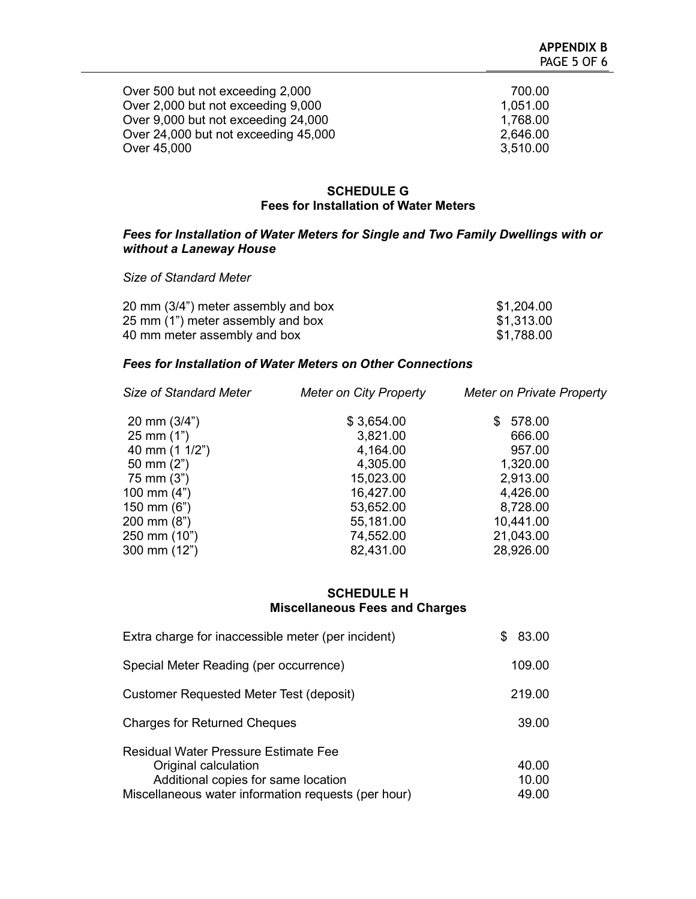| Over 500 but not exceeding 2,000     | 700.00   |
|--------------------------------------|----------|
| Over 2,000 but not exceeding 9,000   | 1,051.00 |
| Over 9,000 but not exceeding 24,000  | 1,768.00 |
| Over 24,000 but not exceeding 45,000 | 2,646.00 |
| Over 45,000                          | 3,510.00 |

#### **SCHEDULE G Fees for Installation of Water Meters**

# *Fees for Installation of Water Meters for Single and Two Family Dwellings with or without a Laneway House*

*Size of Standard Meter*

| 20 mm (3/4") meter assembly and box | \$1,204.00 |
|-------------------------------------|------------|
| 25 mm (1") meter assembly and box   | \$1,313.00 |
| 40 mm meter assembly and box        | \$1,788.00 |

# *Fees for Installation of Water Meters on Other Connections*

| <b>Meter on City Property</b> | Meter on Private Property |
|-------------------------------|---------------------------|
| \$3,654.00                    | 578.00<br>S               |
| 3,821.00                      | 666.00                    |
| 4,164.00                      | 957.00                    |
| 4,305.00                      | 1,320.00                  |
| 15,023.00                     | 2,913.00                  |
| 16,427.00                     | 4,426.00                  |
| 53,652.00                     | 8,728.00                  |
| 55,181.00                     | 10,441.00                 |
| 74,552.00                     | 21,043.00                 |
| 82,431.00                     | 28,926.00                 |
|                               |                           |

# **SCHEDULE H Miscellaneous Fees and Charges**

| Extra charge for inaccessible meter (per incident)                                                                                                                | 83.00<br>\$.            |
|-------------------------------------------------------------------------------------------------------------------------------------------------------------------|-------------------------|
| Special Meter Reading (per occurrence)                                                                                                                            | 109.00                  |
| Customer Requested Meter Test (deposit)                                                                                                                           | 219.00                  |
| <b>Charges for Returned Cheques</b>                                                                                                                               | 39.00                   |
| <b>Residual Water Pressure Estimate Fee</b><br>Original calculation<br>Additional copies for same location<br>Miscellaneous water information requests (per hour) | 40.00<br>10.00<br>49.00 |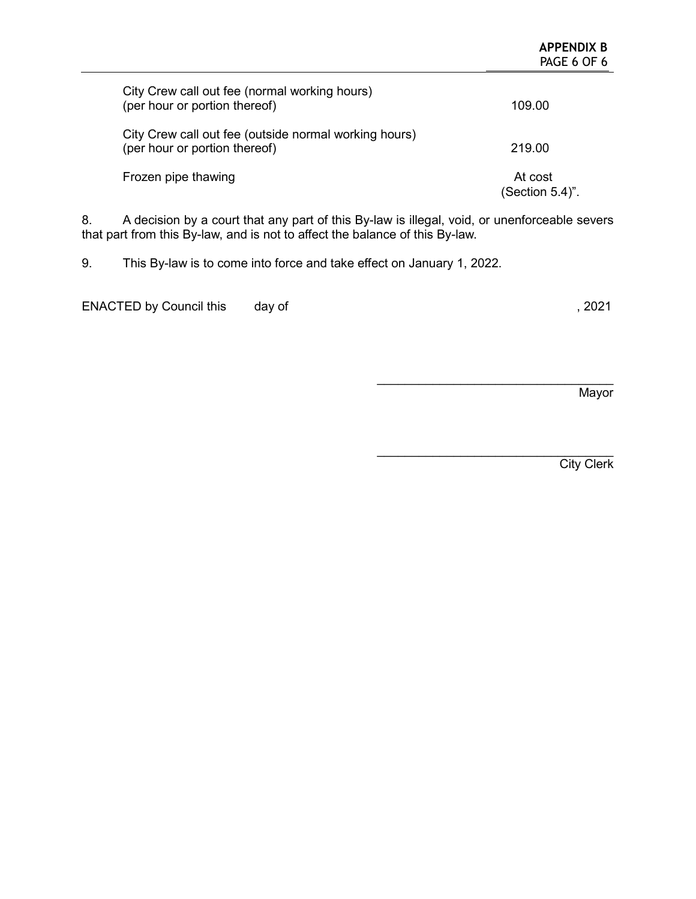|                                                                                        | APPENDIX B<br>PAGE 6 OF 6  |
|----------------------------------------------------------------------------------------|----------------------------|
| City Crew call out fee (normal working hours)<br>(per hour or portion thereof)         | 109.00                     |
| City Crew call out fee (outside normal working hours)<br>(per hour or portion thereof) | 219.00                     |
| Frozen pipe thawing                                                                    | At cost<br>(Section 5.4)". |

8. A decision by a court that any part of this By-law is illegal, void, or unenforceable severs that part from this By-law, and is not to affect the balance of this By-law.

9. This By-law is to come into force and take effect on January 1, 2022.

ENACTED by Council this day of  $\sim$  , 2021

**Mayor** 

 $\mathcal{L}_\text{max}$  , where  $\mathcal{L}_\text{max}$  , we have the set of  $\mathcal{L}_\text{max}$ 

**APPENDIX B**

 $\overline{\phantom{a}}$  , where  $\overline{\phantom{a}}$  , where  $\overline{\phantom{a}}$  ,  $\overline{\phantom{a}}$  ,  $\overline{\phantom{a}}$  ,  $\overline{\phantom{a}}$  ,  $\overline{\phantom{a}}$  ,  $\overline{\phantom{a}}$  ,  $\overline{\phantom{a}}$  ,  $\overline{\phantom{a}}$  ,  $\overline{\phantom{a}}$  ,  $\overline{\phantom{a}}$  ,  $\overline{\phantom{a}}$  ,  $\overline{\phantom{a}}$  ,  $\overline{\phantom{a}}$  , **City Clerk**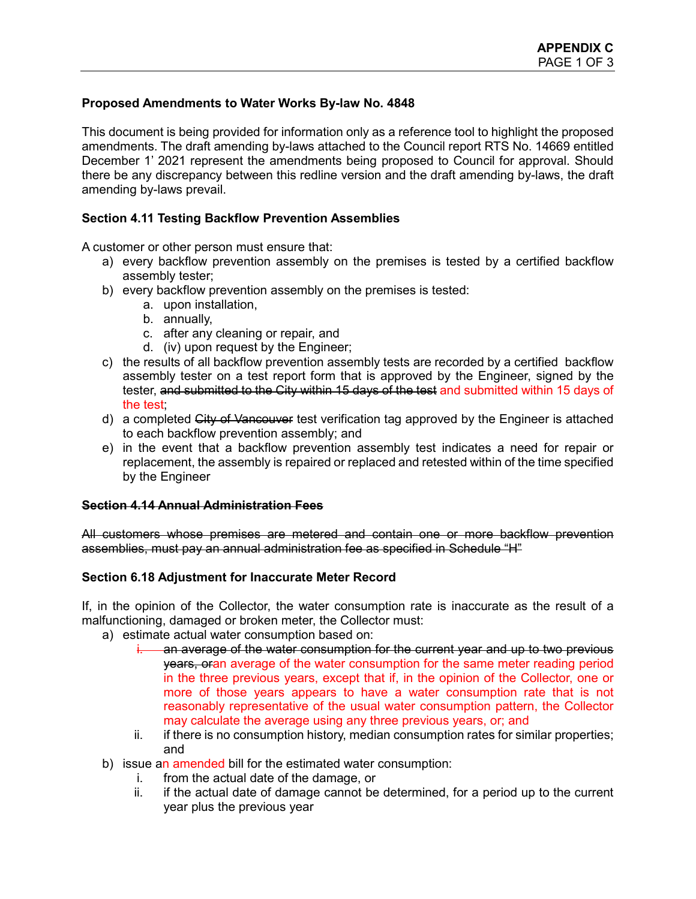# **Proposed Amendments to Water Works By-law No. 4848**

This document is being provided for information only as a reference tool to highlight the proposed amendments. The draft amending by-laws attached to the Council report RTS No. 14669 entitled December 1' 2021 represent the amendments being proposed to Council for approval. Should there be any discrepancy between this redline version and the draft amending by-laws, the draft amending by-laws prevail.

# **Section 4.11 Testing Backflow Prevention Assemblies**

A customer or other person must ensure that:

- a) every backflow prevention assembly on the premises is tested by a certified backflow assembly tester;
- b) every backflow prevention assembly on the premises is tested:
	- a. upon installation,
	- b. annually,
	- c. after any cleaning or repair, and
	- d. (iv) upon request by the Engineer;
- c) the results of all backflow prevention assembly tests are recorded by a certified backflow assembly tester on a test report form that is approved by the Engineer, signed by the tester, and submitted to the City within 15 days of the test and submitted within 15 days of the test;
- d) a completed City of Vancouver test verification tag approved by the Engineer is attached to each backflow prevention assembly; and
- e) in the event that a backflow prevention assembly test indicates a need for repair or replacement, the assembly is repaired or replaced and retested within of the time specified by the Engineer

# **Section 4.14 Annual Administration Fees**

All customers whose premises are metered and contain one or more backflow prevention assemblies, must pay an annual administration fee as specified in Schedule "H"

# **Section 6.18 Adjustment for Inaccurate Meter Record**

If, in the opinion of the Collector, the water consumption rate is inaccurate as the result of a malfunctioning, damaged or broken meter, the Collector must:

- a) estimate actual water consumption based on:
	- an average of the water consumption for the current year and up to two previous years, oran average of the water consumption for the same meter reading period in the three previous years, except that if, in the opinion of the Collector, one or more of those years appears to have a water consumption rate that is not reasonably representative of the usual water consumption pattern, the Collector may calculate the average using any three previous years, or; and
	- ii. if there is no consumption history, median consumption rates for similar properties; and
- b) issue an amended bill for the estimated water consumption:
	- i. from the actual date of the damage, or
	- ii. if the actual date of damage cannot be determined, for a period up to the current year plus the previous year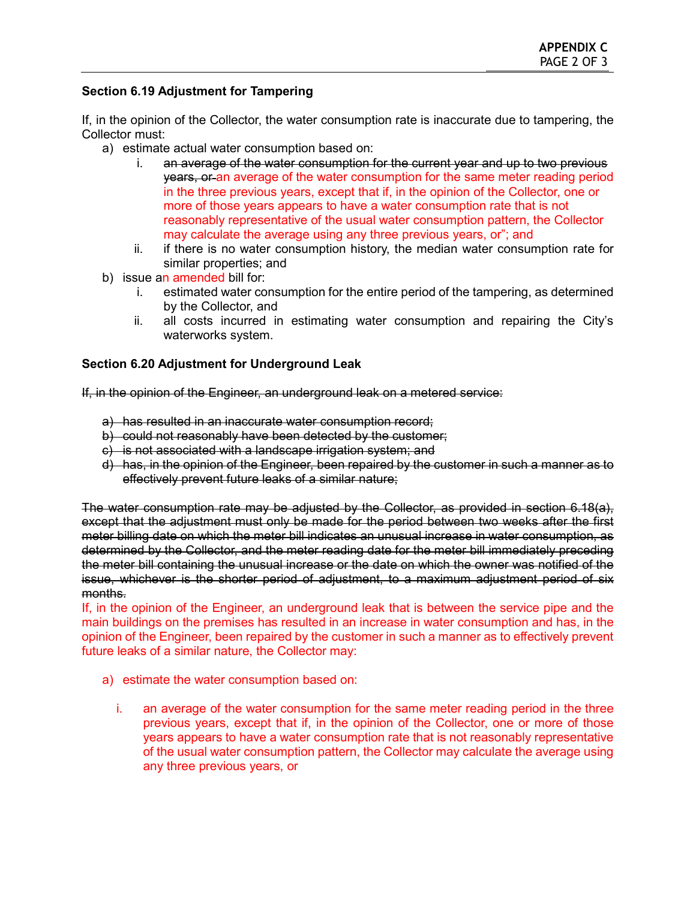# **Section 6.19 Adjustment for Tampering**

If, in the opinion of the Collector, the water consumption rate is inaccurate due to tampering, the Collector must:

- a) estimate actual water consumption based on:
	- i. an average of the water consumption for the current year and up to two previous years, or an average of the water consumption for the same meter reading period in the three previous years, except that if, in the opinion of the Collector, one or more of those years appears to have a water consumption rate that is not reasonably representative of the usual water consumption pattern, the Collector may calculate the average using any three previous years, or"; and
	- ii. if there is no water consumption history, the median water consumption rate for similar properties; and
- b) issue an amended bill for:
	- i. estimated water consumption for the entire period of the tampering, as determined by the Collector, and
	- ii. all costs incurred in estimating water consumption and repairing the City's waterworks system.

# **Section 6.20 Adjustment for Underground Leak**

If, in the opinion of the Engineer, an underground leak on a metered service:

- a) has resulted in an inaccurate water consumption record;
- b) could not reasonably have been detected by the customer;
- c) is not associated with a landscape irrigation system; and
- d) has, in the opinion of the Engineer, been repaired by the customer in such a manner as to effectively prevent future leaks of a similar nature;

The water consumption rate may be adjusted by the Collector, as provided in section 6.18(a), except that the adjustment must only be made for the period between two weeks after the first meter billing date on which the meter bill indicates an unusual increase in water consumption, as determined by the Collector, and the meter reading date for the meter bill immediately preceding the meter bill containing the unusual increase or the date on which the owner was notified of the issue, whichever is the shorter period of adjustment, to a maximum adjustment period of six months.

If, in the opinion of the Engineer, an underground leak that is between the service pipe and the main buildings on the premises has resulted in an increase in water consumption and has, in the opinion of the Engineer, been repaired by the customer in such a manner as to effectively prevent future leaks of a similar nature, the Collector may:

- a) estimate the water consumption based on:
	- i. an average of the water consumption for the same meter reading period in the three previous years, except that if, in the opinion of the Collector, one or more of those years appears to have a water consumption rate that is not reasonably representative of the usual water consumption pattern, the Collector may calculate the average using any three previous years, or